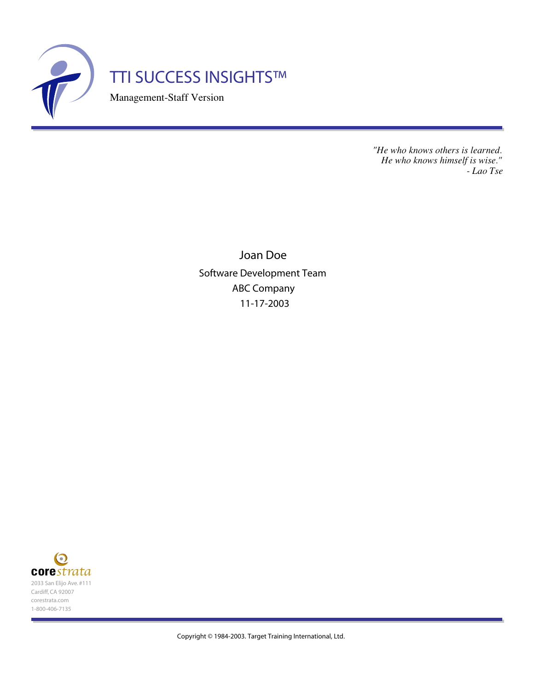

*"He who knows others is learned. He who knows himself is wise." - Lao Tse*

Joan Doe Software Development Team ABC Company 11-17-2003

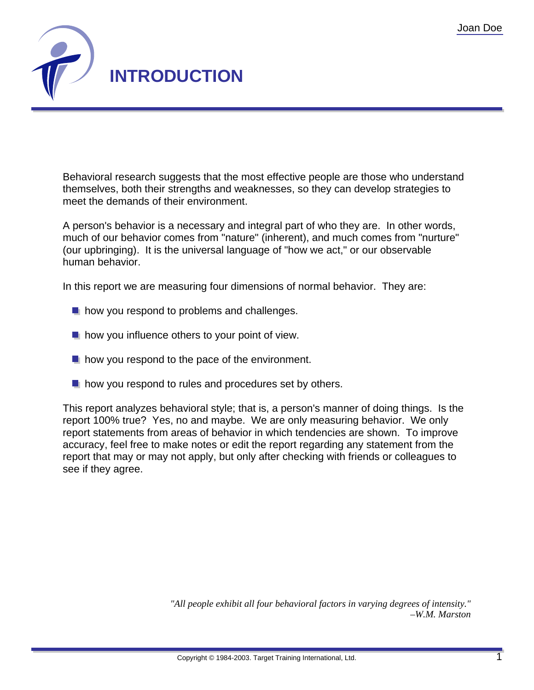

Behavioral research suggests that the most effective people are those who understand themselves, both their strengths and weaknesses, so they can develop strategies to meet the demands of their environment.

A person's behavior is a necessary and integral part of who they are. In other words, much of our behavior comes from "nature" (inherent), and much comes from "nurture" (our upbringing). It is the universal language of "how we act," or our observable human behavior.

In this report we are measuring four dimensions of normal behavior. They are:

- $\blacksquare$  how you respond to problems and challenges.
- $\blacksquare$  how you influence others to your point of view.
- $\blacksquare$  how you respond to the pace of the environment.
- $\blacksquare$  how you respond to rules and procedures set by others.

This report analyzes behavioral style; that is, a person's manner of doing things. Is the report 100% true? Yes, no and maybe. We are only measuring behavior. We only report statements from areas of behavior in which tendencies are shown. To improve accuracy, feel free to make notes or edit the report regarding any statement from the report that may or may not apply, but only after checking with friends or colleagues to see if they agree.

> *"All people exhibit all four behavioral factors in varying degrees of intensity." –W.M. Marston*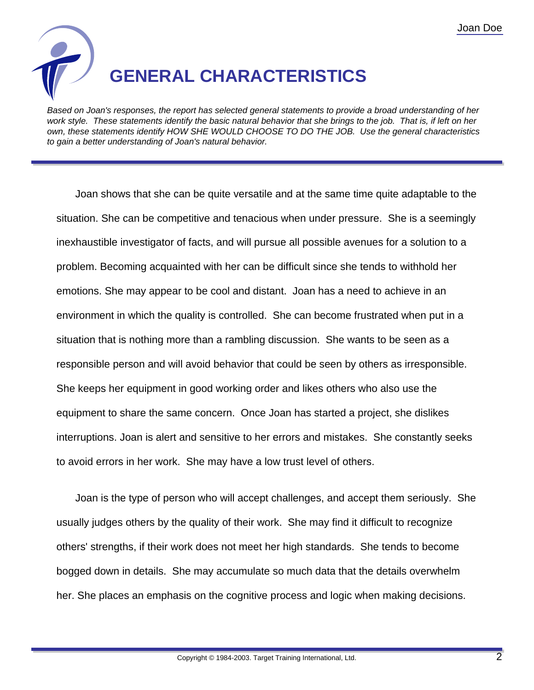

Based on Joan's responses, the report has selected general statements to provide a broad understanding of her work style. These statements identify the basic natural behavior that she brings to the job. That is, if left on her own, these statements identify HOW SHE WOULD CHOOSE TO DO THE JOB. Use the general characteristics to gain a better understanding of Joan's natural behavior.

Joan shows that she can be quite versatile and at the same time quite adaptable to the situation. She can be competitive and tenacious when under pressure. She is a seemingly inexhaustible investigator of facts, and will pursue all possible avenues for a solution to a problem. Becoming acquainted with her can be difficult since she tends to withhold her emotions. She may appear to be cool and distant. Joan has a need to achieve in an environment in which the quality is controlled. She can become frustrated when put in a situation that is nothing more than a rambling discussion. She wants to be seen as a responsible person and will avoid behavior that could be seen by others as irresponsible. She keeps her equipment in good working order and likes others who also use the equipment to share the same concern. Once Joan has started a project, she dislikes interruptions. Joan is alert and sensitive to her errors and mistakes. She constantly seeks to avoid errors in her work. She may have a low trust level of others.

Joan is the type of person who will accept challenges, and accept them seriously. She usually judges others by the quality of their work. She may find it difficult to recognize others' strengths, if their work does not meet her high standards. She tends to become bogged down in details. She may accumulate so much data that the details overwhelm her. She places an emphasis on the cognitive process and logic when making decisions.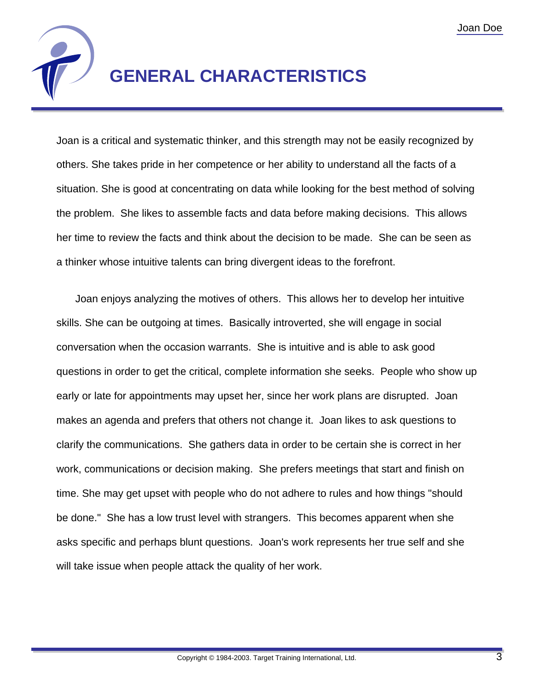

### **GENERAL CHARACTERISTICS**

Joan is a critical and systematic thinker, and this strength may not be easily recognized by others. She takes pride in her competence or her ability to understand all the facts of a situation. She is good at concentrating on data while looking for the best method of solving the problem. She likes to assemble facts and data before making decisions. This allows her time to review the facts and think about the decision to be made. She can be seen as a thinker whose intuitive talents can bring divergent ideas to the forefront.

Joan enjoys analyzing the motives of others. This allows her to develop her intuitive skills. She can be outgoing at times. Basically introverted, she will engage in social conversation when the occasion warrants. She is intuitive and is able to ask good questions in order to get the critical, complete information she seeks. People who show up early or late for appointments may upset her, since her work plans are disrupted. Joan makes an agenda and prefers that others not change it. Joan likes to ask questions to clarify the communications. She gathers data in order to be certain she is correct in her work, communications or decision making. She prefers meetings that start and finish on time. She may get upset with people who do not adhere to rules and how things "should be done." She has a low trust level with strangers. This becomes apparent when she asks specific and perhaps blunt questions. Joan's work represents her true self and she will take issue when people attack the quality of her work.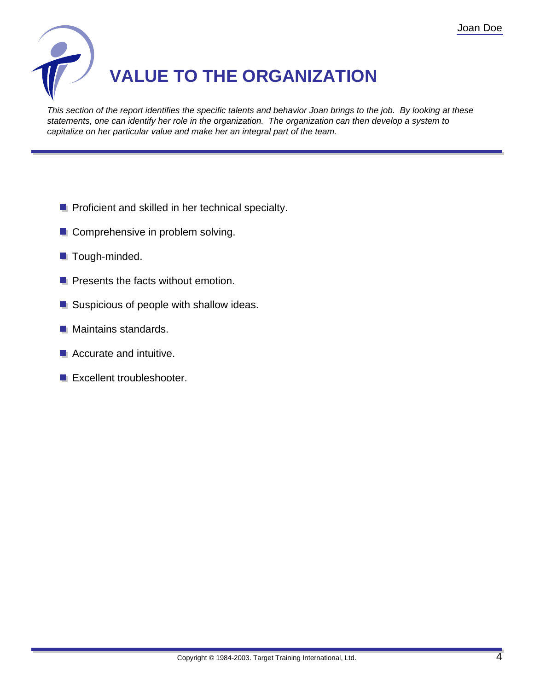

This section of the report identifies the specific talents and behavior Joan brings to the job. By looking at these statements, one can identify her role in the organization. The organization can then develop a system to capitalize on her particular value and make her an integral part of the team.

- **P** Proficient and skilled in her technical specialty.
- **Comprehensive in problem solving.**
- **Tough-minded.**
- $\blacksquare$  Presents the facts without emotion.
- Suspicious of people with shallow ideas.
- **Maintains standards.**
- **Accurate and intuitive.**
- **Excellent troubleshooter.**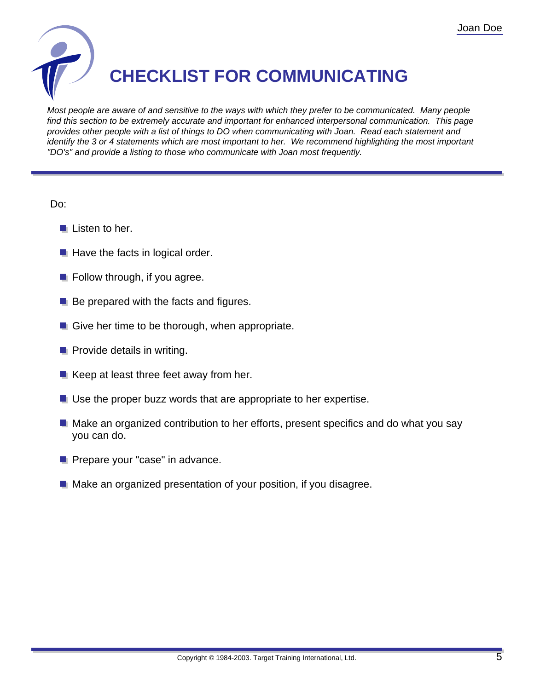

## **CHECKLIST FOR COMMUNICATING**

Most people are aware of and sensitive to the ways with which they prefer to be communicated. Many people find this section to be extremely accurate and important for enhanced interpersonal communication. This page provides other people with a list of things to DO when communicating with Joan. Read each statement and identify the 3 or 4 statements which are most important to her. We recommend highlighting the most important "DO's" and provide a listing to those who communicate with Joan most frequently.

Do:

- $\blacksquare$  Listen to her.
- $\blacksquare$  Have the facts in logical order.
- $\blacksquare$  Follow through, if you agree.
- $\blacksquare$  Be prepared with the facts and figures.
- Give her time to be thorough, when appropriate.
- $\blacksquare$  Provide details in writing.
- $\blacksquare$  Keep at least three feet away from her.
- Use the proper buzz words that are appropriate to her expertise.
- $\blacksquare$  Make an organized contribution to her efforts, present specifics and do what you say you can do.
- **Prepare your "case" in advance.**
- **Make an organized presentation of your position, if you disagree.**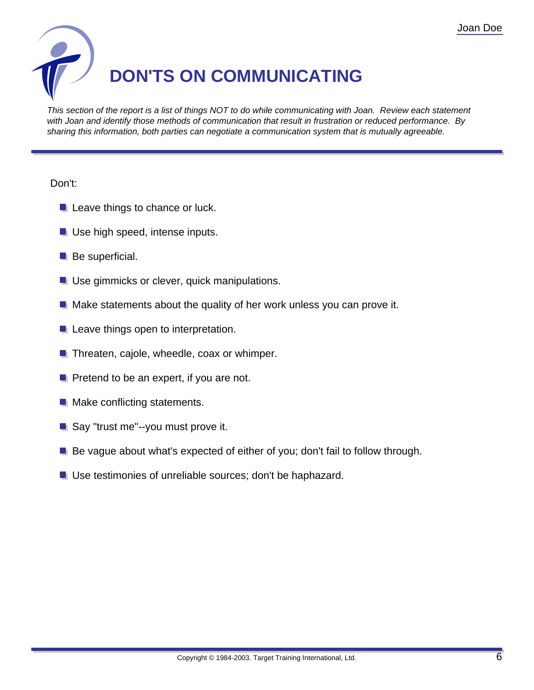

This section of the report is a list of things NOT to do while communicating with Joan. Review each statement with Joan and identify those methods of communication that result in frustration or reduced performance. By sharing this information, both parties can negotiate a communication system that is mutually agreeable.

#### Don't:

- **L** Leave things to chance or luck.
- **Use high speed, intense inputs.**
- **Be superficial.**
- **Use gimmicks or clever, quick manipulations.**
- $\blacksquare$  Make statements about the quality of her work unless you can prove it.
- **Leave things open to interpretation.**
- $\blacksquare$  Threaten, cajole, wheedle, coax or whimper.
- $\blacksquare$  Pretend to be an expert, if you are not.
- **Make conflicting statements.**
- Say "trust me"--you must prove it.
- **Be vague about what's expected of either of you; don't fail to follow through.**
- **Use testimonies of unreliable sources; don't be haphazard.**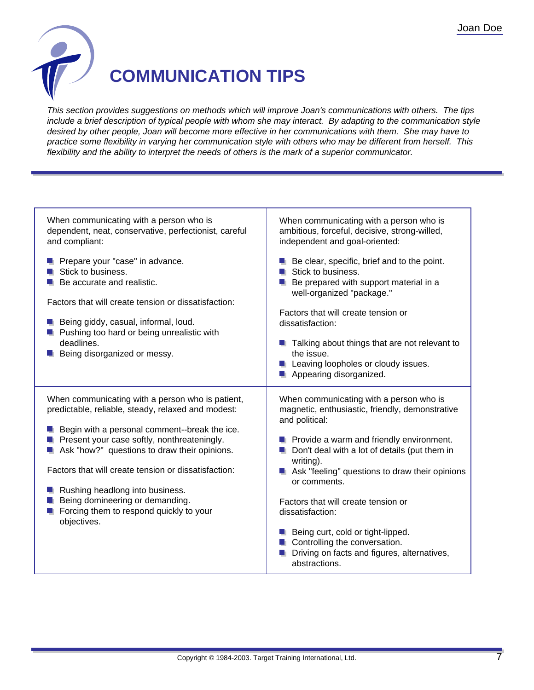

### **COMMUNICATION TIPS**

This section provides suggestions on methods which will improve Joan's communications with others. The tips include a brief description of typical people with whom she may interact. By adapting to the communication style desired by other people, Joan will become more effective in her communications with them. She may have to practice some flexibility in varying her communication style with others who may be different from herself. This flexibility and the ability to interpret the needs of others is the mark of a superior communicator.

| When communicating with a person who is<br>dependent, neat, conservative, perfectionist, careful<br>and compliant:                                                                                                                                                                                                                                                                                                                                      | When communicating with a person who is<br>ambitious, forceful, decisive, strong-willed,<br>independent and goal-oriented:                                                                                                                                                                                                                                                                                                                                                                               |
|---------------------------------------------------------------------------------------------------------------------------------------------------------------------------------------------------------------------------------------------------------------------------------------------------------------------------------------------------------------------------------------------------------------------------------------------------------|----------------------------------------------------------------------------------------------------------------------------------------------------------------------------------------------------------------------------------------------------------------------------------------------------------------------------------------------------------------------------------------------------------------------------------------------------------------------------------------------------------|
| Prepare your "case" in advance.<br>Stick to business.<br>Be accurate and realistic.<br>Factors that will create tension or dissatisfaction:<br><b>Being giddy, casual, informal, loud.</b><br>Pushing too hard or being unrealistic with<br>deadlines.<br>Being disorganized or messy.                                                                                                                                                                  | $\blacksquare$ Be clear, specific, brief and to the point.<br>Stick to business.<br>Be prepared with support material in a<br>well-organized "package."<br>Factors that will create tension or<br>dissatisfaction:<br><b>T</b> Talking about things that are not relevant to<br>the issue.<br>Leaving loopholes or cloudy issues.<br>Appearing disorganized.                                                                                                                                             |
| When communicating with a person who is patient,<br>predictable, reliable, steady, relaxed and modest:<br><b>E</b> Begin with a personal comment--break the ice.<br>Present your case softly, nonthreateningly.<br>Ask "how?" questions to draw their opinions.<br>Factors that will create tension or dissatisfaction:<br>Rushing headlong into business.<br>Being domineering or demanding.<br>Forcing them to respond quickly to your<br>objectives. | When communicating with a person who is<br>magnetic, enthusiastic, friendly, demonstrative<br>and political:<br>$\blacksquare$ Provide a warm and friendly environment.<br>Don't deal with a lot of details (put them in<br>writing).<br>Ask "feeling" questions to draw their opinions<br>or comments.<br>Factors that will create tension or<br>dissatisfaction:<br>Being curt, cold or tight-lipped.<br>Controlling the conversation.<br>Driving on facts and figures, alternatives,<br>abstractions. |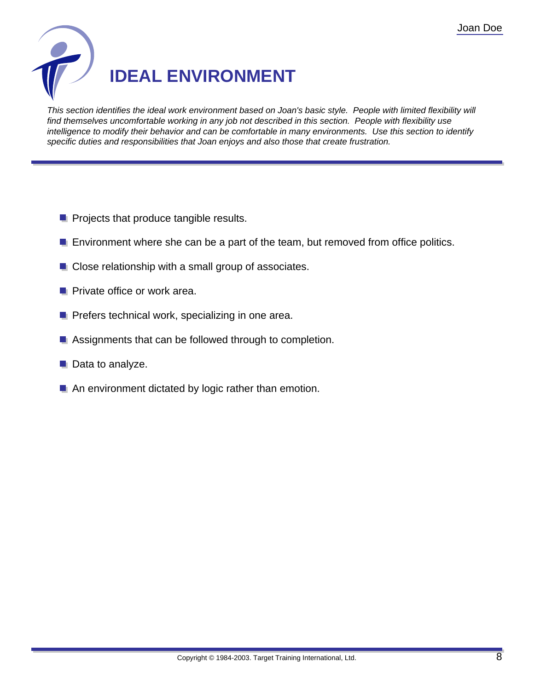

This section identifies the ideal work environment based on Joan's basic style. People with limited flexibility will find themselves uncomfortable working in any job not described in this section. People with flexibility use intelligence to modify their behavior and can be comfortable in many environments. Use this section to identify specific duties and responsibilities that Joan enjoys and also those that create frustration.

- **Projects that produce tangible results.**
- **E** Environment where she can be a part of the team, but removed from office politics.
- **Close relationship with a small group of associates.**
- **Private office or work area.**
- **P** Prefers technical work, specializing in one area.
- Assignments that can be followed through to completion.
- **Data to analyze.**
- An environment dictated by logic rather than emotion.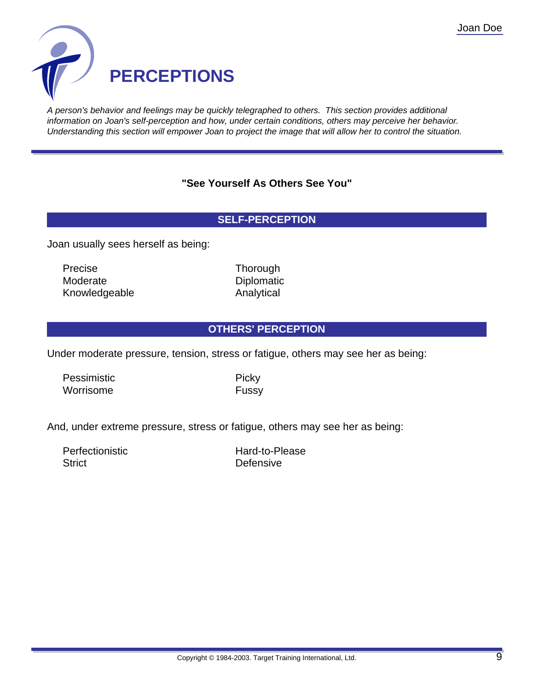

A person's behavior and feelings may be quickly telegraphed to others. This section provides additional information on Joan's self-perception and how, under certain conditions, others may perceive her behavior. Understanding this section will empower Joan to project the image that will allow her to control the situation.

#### **"See Yourself As Others See You"**

#### **SELF-PERCEPTION**

Joan usually sees herself as being:

Precise Thorough Moderate Diplomatic Diplomatic Knowledgeable **Analytical** 

#### **OTHERS' PERCEPTION**

Under moderate pressure, tension, stress or fatigue, others may see her as being:

Pessimistic Picky Worrisome **Fussy** 

And, under extreme pressure, stress or fatigue, others may see her as being:

Perfectionistic Hard-to-Please Strict **Defensive**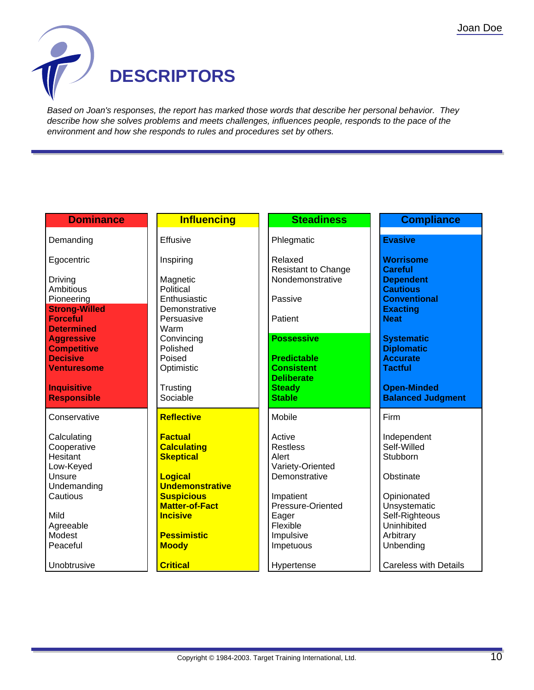

Based on Joan's responses, the report has marked those words that describe her personal behavior. They describe how she solves problems and meets challenges, influences people, responds to the pace of the environment and how she responds to rules and procedures set by others.

| <b>Dominance</b>                        | <b>Influencing</b>                       | <b>Steadiness</b>                              | <b>Compliance</b>                  |
|-----------------------------------------|------------------------------------------|------------------------------------------------|------------------------------------|
| Demanding                               | <b>Effusive</b>                          | Phlegmatic                                     | <b>Evasive</b>                     |
|                                         |                                          |                                                |                                    |
| Egocentric                              | Inspiring                                | Relaxed                                        | <b>Worrisome</b>                   |
| Driving                                 | Magnetic                                 | <b>Resistant to Change</b><br>Nondemonstrative | <b>Careful</b><br><b>Dependent</b> |
| Ambitious                               | Political                                |                                                | <b>Cautious</b>                    |
| Pioneering                              | Enthusiastic                             | Passive                                        | <b>Conventional</b>                |
| <b>Strong-Willed</b><br><b>Forceful</b> | Demonstrative<br>Persuasive              | Patient                                        | <b>Exacting</b><br><b>Neat</b>     |
| <b>Determined</b>                       | Warm                                     |                                                |                                    |
| <b>Aggressive</b>                       | Convincing                               | <b>Possessive</b>                              | <b>Systematic</b>                  |
| <b>Competitive</b>                      | Polished                                 |                                                | <b>Diplomatic</b>                  |
| <b>Decisive</b><br><b>Venturesome</b>   | Poised<br>Optimistic                     | <b>Predictable</b><br><b>Consistent</b>        | <b>Accurate</b><br><b>Tactful</b>  |
|                                         |                                          | <b>Deliberate</b>                              |                                    |
| <b>Inquisitive</b>                      | Trusting                                 | <b>Steady</b>                                  | <b>Open-Minded</b>                 |
| <b>Responsible</b>                      | Sociable                                 | <b>Stable</b>                                  | <b>Balanced Judgment</b>           |
| Conservative                            | <b>Reflective</b>                        | Mobile                                         | Firm                               |
| Calculating                             | <b>Factual</b>                           | Active                                         | Independent                        |
| Cooperative                             | <b>Calculating</b>                       | <b>Restless</b>                                | Self-Willed                        |
| Hesitant                                | <b>Skeptical</b>                         | Alert                                          | Stubborn                           |
| Low-Keyed<br>Unsure                     | <b>Logical</b>                           | Variety-Oriented<br>Demonstrative              | Obstinate                          |
| Undemanding                             | <b>Undemonstrative</b>                   |                                                |                                    |
| Cautious                                | <b>Suspicious</b>                        | Impatient                                      | Opinionated                        |
| Mild                                    | <b>Matter-of-Fact</b><br><b>Incisive</b> | Pressure-Oriented<br>Eager                     | Unsystematic<br>Self-Righteous     |
| Agreeable                               |                                          | Flexible                                       | Uninhibited                        |
| Modest                                  | <b>Pessimistic</b>                       | Impulsive                                      | Arbitrary                          |
| Peaceful                                | <b>Moody</b>                             | Impetuous                                      | Unbending                          |
| Unobtrusive                             | <b>Critical</b>                          | Hypertense                                     | <b>Careless with Details</b>       |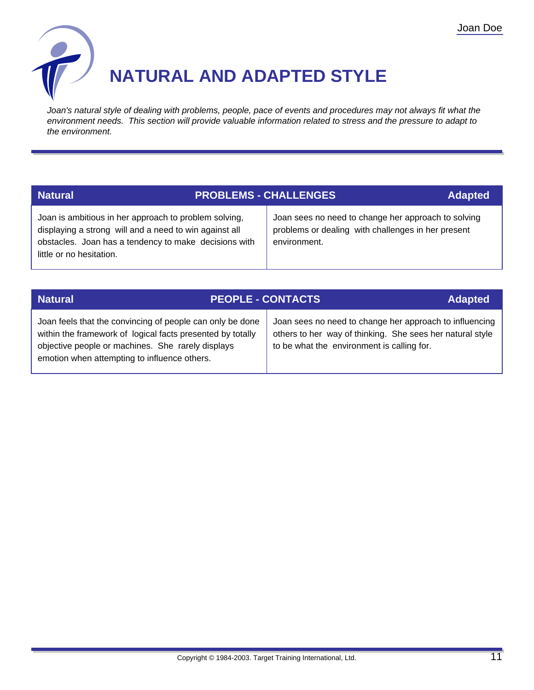

### **NATURAL AND ADAPTED STYLE**

Joan's natural style of dealing with problems, people, pace of events and procedures may not always fit what the environment needs. This section will provide valuable information related to stress and the pressure to adapt to the environment.

| <b>Natural</b>                                                                                                                                                                                       | <b>PROBLEMS - CHALLENGES</b>                                                                                              | <b>Adapted</b> |
|------------------------------------------------------------------------------------------------------------------------------------------------------------------------------------------------------|---------------------------------------------------------------------------------------------------------------------------|----------------|
| Joan is ambitious in her approach to problem solving,<br>displaying a strong will and a need to win against all<br>obstacles. Joan has a tendency to make decisions with<br>little or no hesitation. | Joan sees no need to change her approach to solving<br>problems or dealing with challenges in her present<br>environment. |                |

| <b>Natural</b>                                                                                                                                                                                                               | <b>PEOPLE - CONTACTS</b> |                                                                                                                                                                    | <b>Adapted</b> |
|------------------------------------------------------------------------------------------------------------------------------------------------------------------------------------------------------------------------------|--------------------------|--------------------------------------------------------------------------------------------------------------------------------------------------------------------|----------------|
| Joan feels that the convincing of people can only be done<br>within the framework of logical facts presented by totally<br>objective people or machines. She rarely displays<br>emotion when attempting to influence others. |                          | Joan sees no need to change her approach to influencing<br>others to her way of thinking. She sees her natural style<br>to be what the environment is calling for. |                |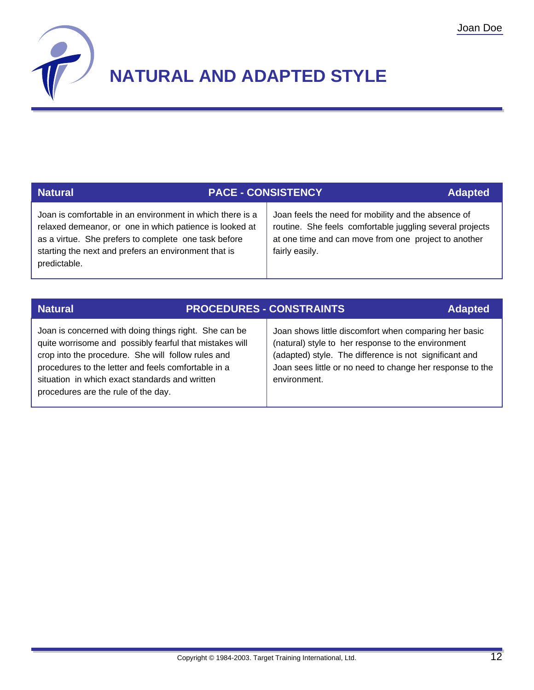

# **NATURAL AND ADAPTED STYLE**

| <b>Natural</b>                                                                                                                                                                                                                                       | <b>PACE - CONSISTENCY</b> |                                                                                                                                                                                           | <b>Adapted</b> |
|------------------------------------------------------------------------------------------------------------------------------------------------------------------------------------------------------------------------------------------------------|---------------------------|-------------------------------------------------------------------------------------------------------------------------------------------------------------------------------------------|----------------|
| Joan is comfortable in an environment in which there is a<br>relaxed demeanor, or one in which patience is looked at<br>as a virtue. She prefers to complete one task before<br>starting the next and prefers an environment that is<br>predictable. |                           | Joan feels the need for mobility and the absence of<br>routine. She feels comfortable juggling several projects<br>at one time and can move from one project to another<br>fairly easily. |                |
|                                                                                                                                                                                                                                                      |                           |                                                                                                                                                                                           |                |

| <b>Natural</b>                                                                                                                                                                                                                                                                                                         | <b>PROCEDURES - CONSTRAINTS</b> |                                                                                                                                                                                                                                                    | <b>Adapted</b> |
|------------------------------------------------------------------------------------------------------------------------------------------------------------------------------------------------------------------------------------------------------------------------------------------------------------------------|---------------------------------|----------------------------------------------------------------------------------------------------------------------------------------------------------------------------------------------------------------------------------------------------|----------------|
| Joan is concerned with doing things right. She can be<br>quite worrisome and possibly fearful that mistakes will<br>crop into the procedure. She will follow rules and<br>procedures to the letter and feels comfortable in a<br>situation in which exact standards and written<br>procedures are the rule of the day. |                                 | Joan shows little discomfort when comparing her basic<br>(natural) style to her response to the environment<br>(adapted) style. The difference is not significant and<br>Joan sees little or no need to change her response to the<br>environment. |                |

**Natural PROCEDURES - CONSTRAINTS**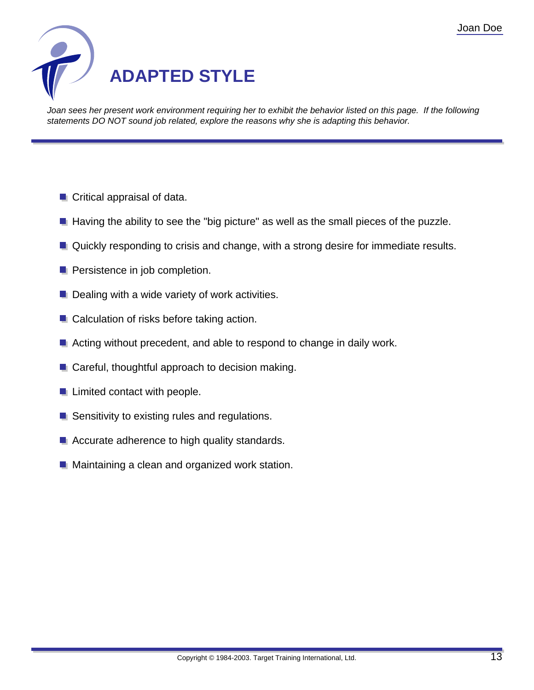

Joan sees her present work environment requiring her to exhibit the behavior listed on this page. If the following statements DO NOT sound job related, explore the reasons why she is adapting this behavior.

- **Critical appraisal of data.**
- $\blacksquare$  Having the ability to see the "big picture" as well as the small pieces of the puzzle.
- **Quickly responding to crisis and change, with a strong desire for immediate results.**
- **Persistence in job completion.**
- $\blacksquare$  Dealing with a wide variety of work activities.
- **Calculation of risks before taking action.**
- Acting without precedent, and able to respond to change in daily work.
- **E** Careful, thoughtful approach to decision making.
- **Limited contact with people.**
- Sensitivity to existing rules and regulations.
- Accurate adherence to high quality standards.
- **Maintaining a clean and organized work station.**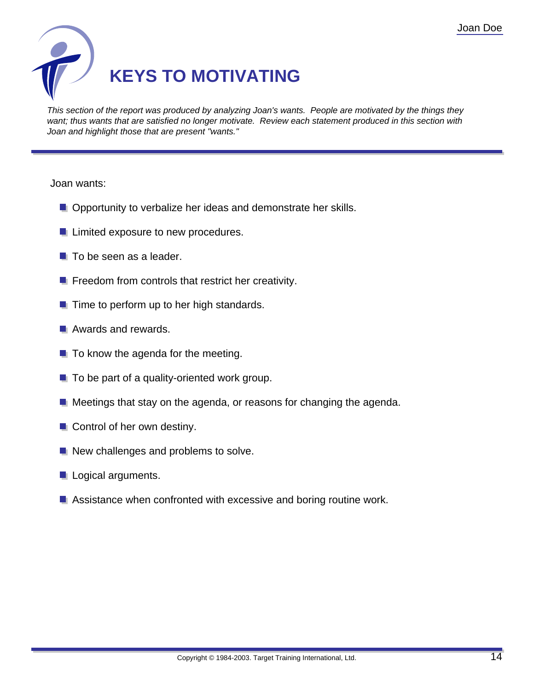

This section of the report was produced by analyzing Joan's wants. People are motivated by the things they want; thus wants that are satisfied no longer motivate. Review each statement produced in this section with Joan and highlight those that are present "wants."

Joan wants:

- **Opportunity to verbalize her ideas and demonstrate her skills.**
- **Limited exposure to new procedures.**
- $\blacksquare$  To be seen as a leader.
- $\blacksquare$  Freedom from controls that restrict her creativity.
- $\blacksquare$  Time to perform up to her high standards.
- **Awards and rewards.**
- $\blacksquare$  To know the agenda for the meeting.
- $\blacksquare$  To be part of a quality-oriented work group.
- $\blacksquare$  Meetings that stay on the agenda, or reasons for changing the agenda.
- **Control of her own destiny.**
- New challenges and problems to solve.
- **L** Logical arguments.
- Assistance when confronted with excessive and boring routine work.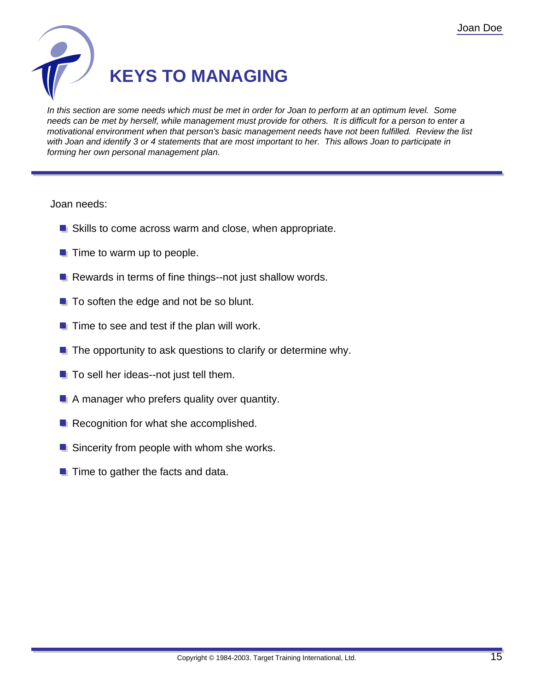

In this section are some needs which must be met in order for Joan to perform at an optimum level. Some needs can be met by herself, while management must provide for others. It is difficult for a person to enter a motivational environment when that person's basic management needs have not been fulfilled. Review the list with Joan and identify 3 or 4 statements that are most important to her. This allows Joan to participate in forming her own personal management plan.

Joan needs:

- Skills to come across warm and close, when appropriate.
- $\blacksquare$  Time to warm up to people.
- $\blacksquare$  Rewards in terms of fine things--not just shallow words.
- $\blacksquare$  To soften the edge and not be so blunt.
- $\blacksquare$  Time to see and test if the plan will work.
- $\blacksquare$  The opportunity to ask questions to clarify or determine why.
- $\blacksquare$  To sell her ideas--not just tell them.
- A manager who prefers quality over quantity.
- Recognition for what she accomplished.
- **Sincerity from people with whom she works.**
- $\blacksquare$  Time to gather the facts and data.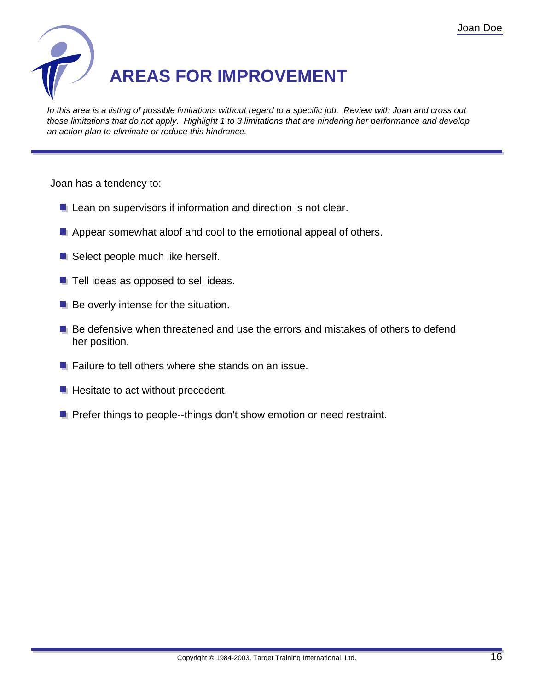

In this area is a listing of possible limitations without regard to a specific job. Review with Joan and cross out those limitations that do not apply. Highlight 1 to 3 limitations that are hindering her performance and develop an action plan to eliminate or reduce this hindrance.

Joan has a tendency to:

- **L** Lean on supervisors if information and direction is not clear.
- **Appear somewhat aloof and cool to the emotional appeal of others.**
- Select people much like herself.
- $\blacksquare$  Tell ideas as opposed to sell ideas.
- $\blacksquare$  Be overly intense for the situation.
- **Be defensive when threatened and use the errors and mistakes of others to defend** her position.
- $\blacksquare$  Failure to tell others where she stands on an issue.
- $\blacksquare$  Hesitate to act without precedent.
- **P** Prefer things to people--things don't show emotion or need restraint.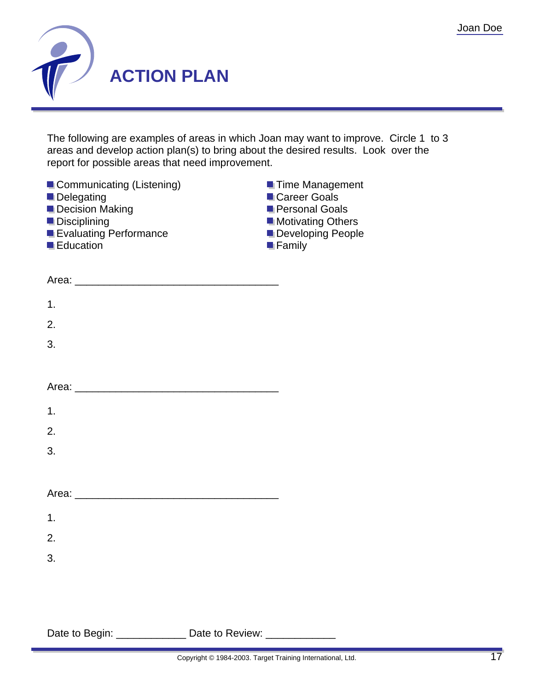

The following are examples of areas in which Joan may want to improve. Circle 1 to 3 areas and develop action plan(s) to bring about the desired results. Look over the report for possible areas that need improvement.

| Communicating (Listening)<br>Delegating<br>Decision Making<br>Disciplining<br><b>Exaluating Performance</b><br><b>Education</b> | <b>Time Management</b><br>Career Goals<br><b>Personal Goals</b><br>Motivating Others<br>Developing People<br>$\blacksquare$ Family |  |
|---------------------------------------------------------------------------------------------------------------------------------|------------------------------------------------------------------------------------------------------------------------------------|--|
|                                                                                                                                 |                                                                                                                                    |  |
| 1.                                                                                                                              |                                                                                                                                    |  |
| 2.                                                                                                                              |                                                                                                                                    |  |
| 3.                                                                                                                              |                                                                                                                                    |  |
|                                                                                                                                 |                                                                                                                                    |  |
|                                                                                                                                 |                                                                                                                                    |  |
| 1.                                                                                                                              |                                                                                                                                    |  |
| 2.                                                                                                                              |                                                                                                                                    |  |
| 3.                                                                                                                              |                                                                                                                                    |  |
|                                                                                                                                 |                                                                                                                                    |  |
|                                                                                                                                 |                                                                                                                                    |  |
| 1.                                                                                                                              |                                                                                                                                    |  |
| 2.                                                                                                                              |                                                                                                                                    |  |
| 3.                                                                                                                              |                                                                                                                                    |  |
|                                                                                                                                 |                                                                                                                                    |  |
|                                                                                                                                 |                                                                                                                                    |  |
| Date to Begin: _________________ Date to Review: ______________                                                                 |                                                                                                                                    |  |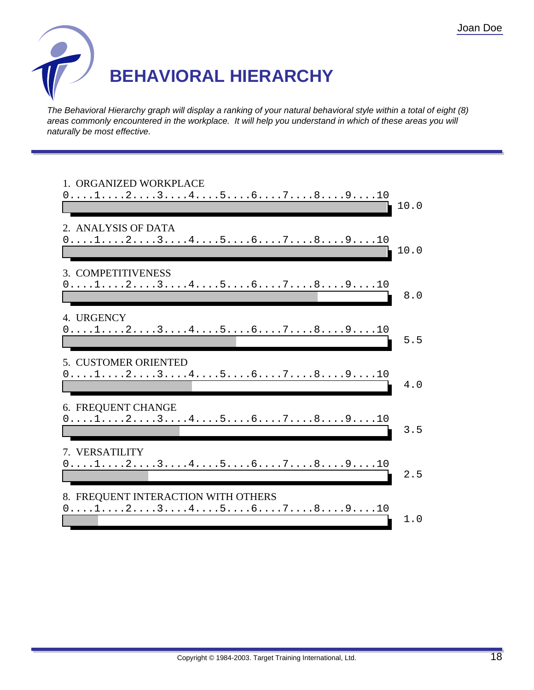

The Behavioral Hierarchy graph will display a ranking of your natural behavioral style within a total of eight (8) areas commonly encountered in the workplace. It will help you understand in which of these areas you will naturally be most effective.

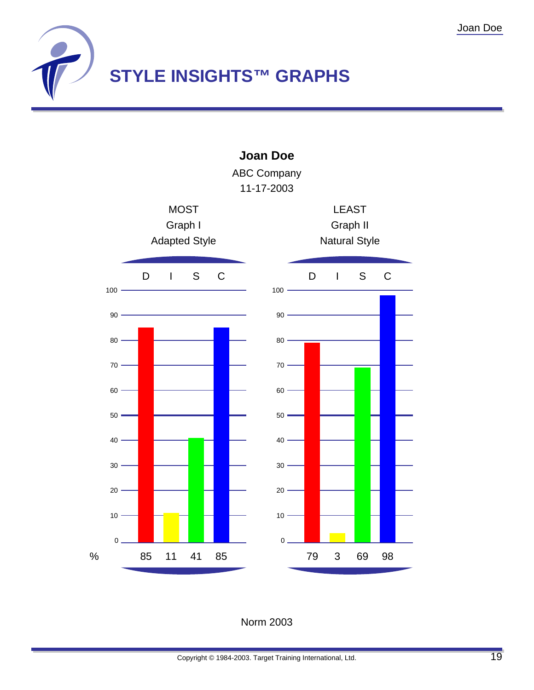



Norm 2003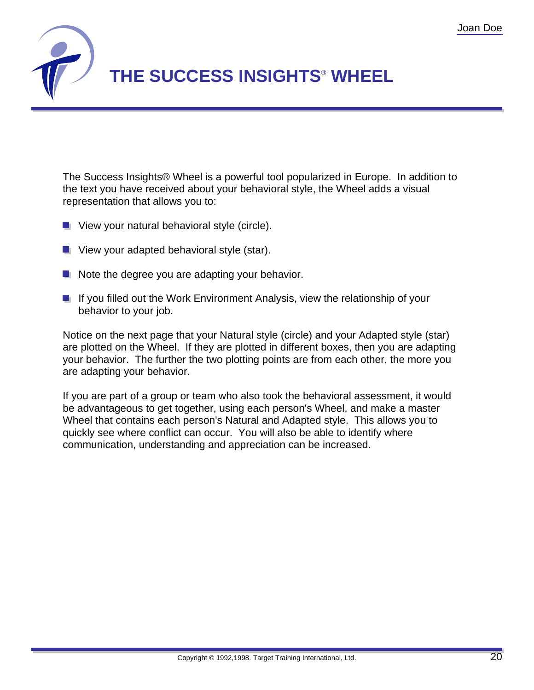

The Success Insights® Wheel is a powerful tool popularized in Europe. In addition to the text you have received about your behavioral style, the Wheel adds a visual representation that allows you to:

- $\blacksquare$  View your natural behavioral style (circle).
- **U** View your adapted behavioral style (star).
- $\blacksquare$  Note the degree you are adapting your behavior.
- If you filled out the Work Environment Analysis, view the relationship of your behavior to your job.

Notice on the next page that your Natural style (circle) and your Adapted style (star) are plotted on the Wheel. If they are plotted in different boxes, then you are adapting your behavior. The further the two plotting points are from each other, the more you are adapting your behavior.

If you are part of a group or team who also took the behavioral assessment, it would be advantageous to get together, using each person's Wheel, and make a master Wheel that contains each person's Natural and Adapted style. This allows you to quickly see where conflict can occur. You will also be able to identify where communication, understanding and appreciation can be increased.